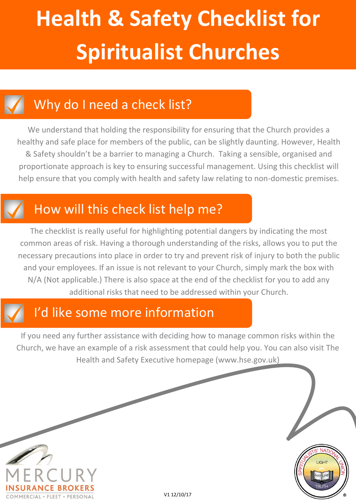### Why do I need a check list?

We understand that holding the responsibility for ensuring that the Church provides a healthy and safe place for members of the public, can be slightly daunting. However, Health & Safety shouldn't be a barrier to managing a Church. Taking a sensible, organised and proportionate approach is key to ensuring successful management. Using this checklist will help ensure that you comply with health and safety law relating to non-domestic premises.

### How will this check list help me?

The checklist is really useful for highlighting potential dangers by indicating the most common areas of risk. Having a thorough understanding of the risks, allows you to put the necessary precautions into place in order to try and prevent risk of injury to both the public and your employees. If an issue is not relevant to your Church, simply mark the box with N/A (Not applicable.) There is also space at the end of the checklist for you to add any additional risks that need to be addressed within your Church.

### I'd like some more information

If you need any further assistance with deciding how to manage common risks within the Church, we have an example of a risk assessment that could help you. You can also visit The Health and Safety Executive homepage (www.hse.gov.uk)

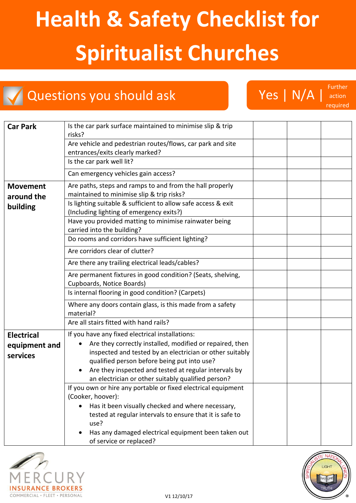### Questions you should ask NYA | Yes | N/A |

Further action required

| <b>Car Park</b>   | Is the car park surface maintained to minimise slip & trip<br>risks?           |  |  |
|-------------------|--------------------------------------------------------------------------------|--|--|
|                   | Are vehicle and pedestrian routes/flows, car park and site                     |  |  |
|                   | entrances/exits clearly marked?                                                |  |  |
|                   | Is the car park well lit?                                                      |  |  |
|                   | Can emergency vehicles gain access?                                            |  |  |
| <b>Movement</b>   | Are paths, steps and ramps to and from the hall properly                       |  |  |
| around the        | maintained to minimise slip & trip risks?                                      |  |  |
| building          | Is lighting suitable & sufficient to allow safe access & exit                  |  |  |
|                   | (Including lighting of emergency exits?)                                       |  |  |
|                   | Have you provided matting to minimise rainwater being                          |  |  |
|                   | carried into the building?                                                     |  |  |
|                   | Do rooms and corridors have sufficient lighting?                               |  |  |
|                   | Are corridors clear of clutter?                                                |  |  |
|                   | Are there any trailing electrical leads/cables?                                |  |  |
|                   | Are permanent fixtures in good condition? (Seats, shelving,                    |  |  |
|                   | Cupboards, Notice Boards)                                                      |  |  |
|                   | Is internal flooring in good condition? (Carpets)                              |  |  |
|                   | Where any doors contain glass, is this made from a safety<br>material?         |  |  |
|                   | Are all stairs fitted with hand rails?                                         |  |  |
| <b>Electrical</b> | If you have any fixed electrical installations:                                |  |  |
| equipment and     | Are they correctly installed, modified or repaired, then                       |  |  |
| services          | inspected and tested by an electrician or other suitably                       |  |  |
|                   | qualified person before being put into use?                                    |  |  |
|                   | Are they inspected and tested at regular intervals by                          |  |  |
|                   | an electrician or other suitably qualified person?                             |  |  |
|                   | If you own or hire any portable or fixed electrical equipment                  |  |  |
|                   | (Cooker, hoover):                                                              |  |  |
|                   | Has it been visually checked and where necessary,                              |  |  |
|                   | tested at regular intervals to ensure that it is safe to<br>use?               |  |  |
|                   | Has any damaged electrical equipment been taken out<br>of service or replaced? |  |  |



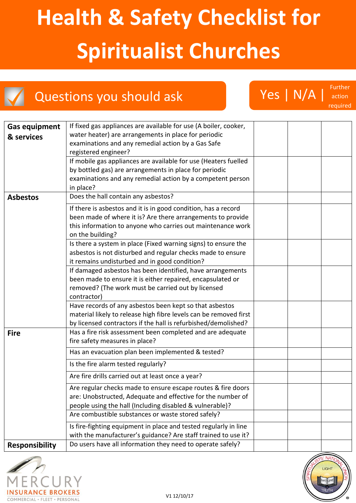Questions you should ask Ves | N/A | Further

| <b>Gas equipment</b><br>& services | If fixed gas appliances are available for use (A boiler, cooker,<br>water heater) are arrangements in place for periodic<br>examinations and any remedial action by a Gas Safe<br>registered engineer?<br>If mobile gas appliances are available for use (Heaters fuelled<br>by bottled gas) are arrangements in place for periodic<br>examinations and any remedial action by a competent person |  |  |
|------------------------------------|---------------------------------------------------------------------------------------------------------------------------------------------------------------------------------------------------------------------------------------------------------------------------------------------------------------------------------------------------------------------------------------------------|--|--|
|                                    | in place?                                                                                                                                                                                                                                                                                                                                                                                         |  |  |
| <b>Asbestos</b>                    | Does the hall contain any asbestos?                                                                                                                                                                                                                                                                                                                                                               |  |  |
|                                    | If there is asbestos and it is in good condition, has a record<br>been made of where it is? Are there arrangements to provide<br>this information to anyone who carries out maintenance work<br>on the building?                                                                                                                                                                                  |  |  |
|                                    | Is there a system in place (Fixed warning signs) to ensure the<br>asbestos is not disturbed and regular checks made to ensure<br>it remains undisturbed and in good condition?                                                                                                                                                                                                                    |  |  |
|                                    | If damaged asbestos has been identified, have arrangements<br>been made to ensure it is either repaired, encapsulated or<br>removed? (The work must be carried out by licensed<br>contractor)                                                                                                                                                                                                     |  |  |
|                                    | Have records of any asbestos been kept so that asbestos<br>material likely to release high fibre levels can be removed first<br>by licensed contractors if the hall is refurbished/demolished?                                                                                                                                                                                                    |  |  |
| <b>Fire</b>                        | Has a fire risk assessment been completed and are adequate<br>fire safety measures in place?                                                                                                                                                                                                                                                                                                      |  |  |
|                                    | Has an evacuation plan been implemented & tested?                                                                                                                                                                                                                                                                                                                                                 |  |  |
|                                    | Is the fire alarm tested regularly?                                                                                                                                                                                                                                                                                                                                                               |  |  |
|                                    | Are fire drills carried out at least once a year?                                                                                                                                                                                                                                                                                                                                                 |  |  |
|                                    | Are regular checks made to ensure escape routes & fire doors<br>are: Unobstructed, Adequate and effective for the number of<br>people using the hall (Including disabled & vulnerable)?                                                                                                                                                                                                           |  |  |
|                                    | Are combustible substances or waste stored safely?                                                                                                                                                                                                                                                                                                                                                |  |  |
|                                    | Is fire-fighting equipment in place and tested regularly in line<br>with the manufacturer's guidance? Are staff trained to use it?                                                                                                                                                                                                                                                                |  |  |
| <b>Responsibility</b>              | Do users have all information they need to operate safely?                                                                                                                                                                                                                                                                                                                                        |  |  |





action required